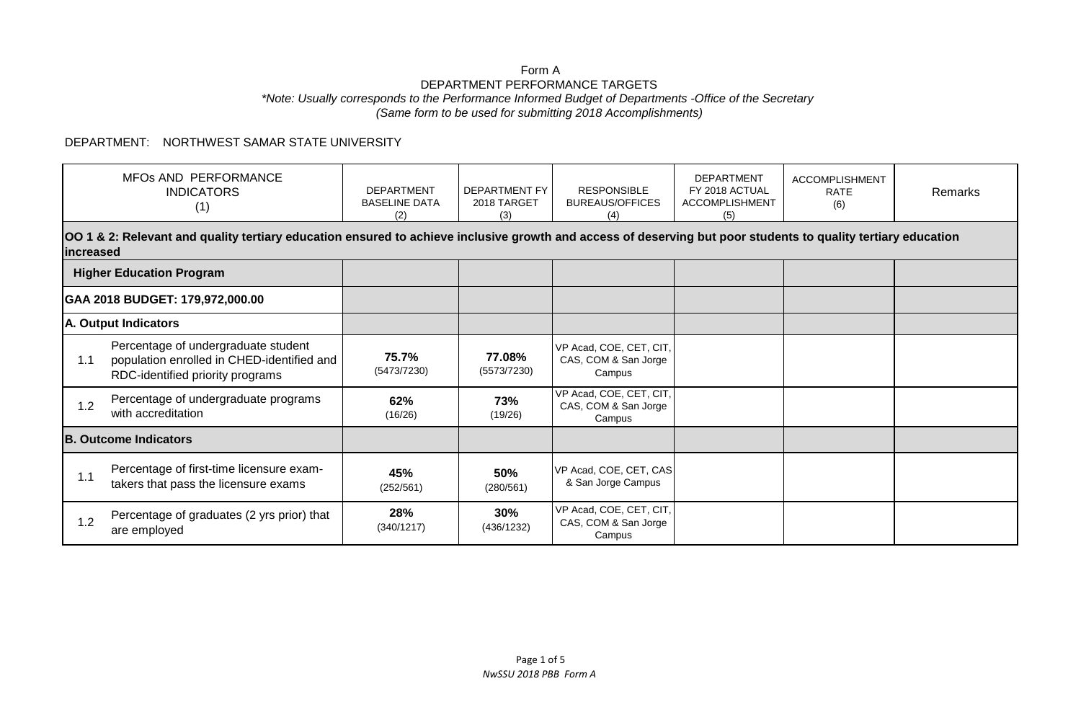## Form A DEPARTMENT PERFORMANCE TARGETS *\*Note: Usually corresponds to the Performance Informed Budget of Departments -Office of the Secretary (Same form to be used for submitting 2018 Accomplishments)*

## DEPARTMENT: NORTHWEST SAMAR STATE UNIVERSITY

|                                 | MFOs AND PERFORMANCE<br><b>INDICATORS</b><br>(1)                                                                                                                            | <b>DEPARTMENT</b><br><b>BASELINE DATA</b><br>(2) | <b>DEPARTMENT FY</b><br>2018 TARGET<br>(3) | <b>RESPONSIBLE</b><br><b>BUREAUS/OFFICES</b><br>(4)       | <b>DEPARTMENT</b><br>FY 2018 ACTUAL<br><b>ACCOMPLISHMENT</b><br>(5) | <b>ACCOMPLISHMENT</b><br><b>RATE</b><br>(6) | <b>Remarks</b> |  |  |
|---------------------------------|-----------------------------------------------------------------------------------------------------------------------------------------------------------------------------|--------------------------------------------------|--------------------------------------------|-----------------------------------------------------------|---------------------------------------------------------------------|---------------------------------------------|----------------|--|--|
|                                 | OO 1 & 2: Relevant and quality tertiary education ensured to achieve inclusive growth and access of deserving but poor students to quality tertiary education<br>lincreased |                                                  |                                            |                                                           |                                                                     |                                             |                |  |  |
| <b>Higher Education Program</b> |                                                                                                                                                                             |                                                  |                                            |                                                           |                                                                     |                                             |                |  |  |
|                                 | GAA 2018 BUDGET: 179,972,000.00                                                                                                                                             |                                                  |                                            |                                                           |                                                                     |                                             |                |  |  |
| A. Output Indicators            |                                                                                                                                                                             |                                                  |                                            |                                                           |                                                                     |                                             |                |  |  |
| 1.1                             | Percentage of undergraduate student<br>population enrolled in CHED-identified and<br>RDC-identified priority programs                                                       | 75.7%<br>(5473/7230)                             | 77.08%<br>(5573/7230)                      | VP Acad, COE, CET, CIT,<br>CAS, COM & San Jorge<br>Campus |                                                                     |                                             |                |  |  |
| 1.2                             | Percentage of undergraduate programs<br>with accreditation                                                                                                                  | 62%<br>(16/26)                                   | 73%<br>(19/26)                             | VP Acad, COE, CET, CIT,<br>CAS, COM & San Jorge<br>Campus |                                                                     |                                             |                |  |  |
| <b>B. Outcome Indicators</b>    |                                                                                                                                                                             |                                                  |                                            |                                                           |                                                                     |                                             |                |  |  |
| 1.1                             | Percentage of first-time licensure exam-<br>takers that pass the licensure exams                                                                                            | 45%<br>(252/561)                                 | 50%<br>(280/561)                           | VP Acad, COE, CET, CAS<br>& San Jorge Campus              |                                                                     |                                             |                |  |  |
| 1.2                             | Percentage of graduates (2 yrs prior) that<br>are employed                                                                                                                  | 28%<br>(340/1217)                                | 30%<br>(436/1232)                          | VP Acad, COE, CET, CIT,<br>CAS, COM & San Jorge<br>Campus |                                                                     |                                             |                |  |  |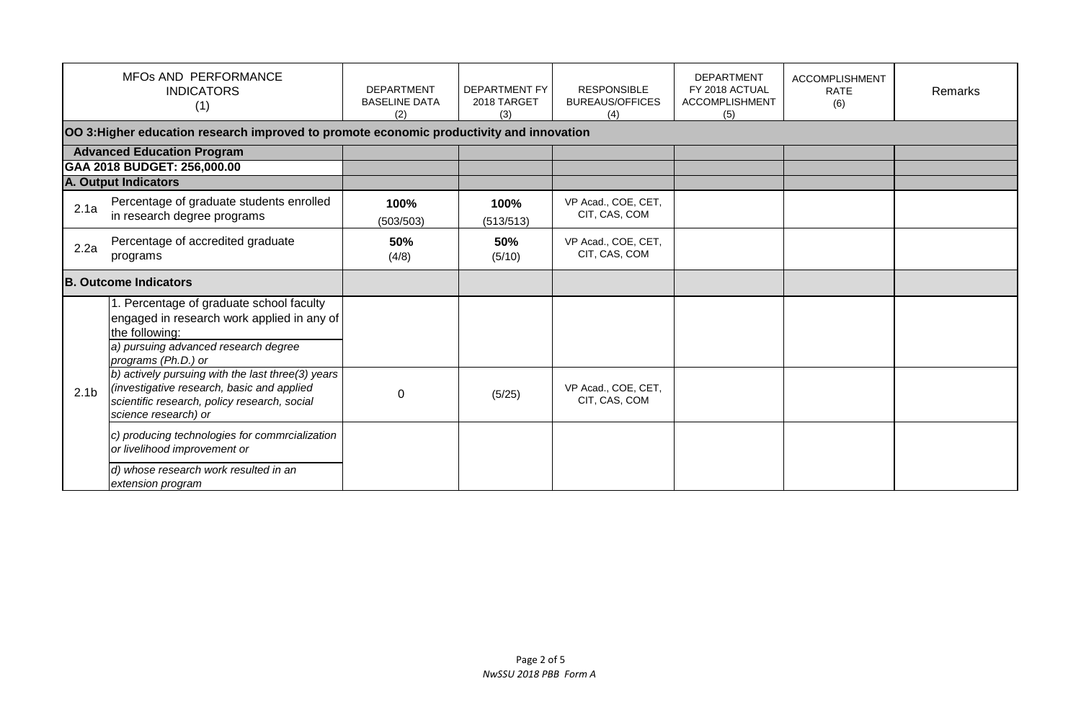|                                   | MFOs AND PERFORMANCE<br><b>INDICATORS</b><br>(1)                                                                                                                           | <b>DEPARTMENT</b><br><b>BASELINE DATA</b><br>(2) | DEPARTMENT FY<br>2018 TARGET<br>(3) | <b>RESPONSIBLE</b><br><b>BUREAUS/OFFICES</b><br>(4) | <b>DEPARTMENT</b><br>FY 2018 ACTUAL<br><b>ACCOMPLISHMENT</b><br>(5) | <b>ACCOMPLISHMENT</b><br><b>RATE</b><br>(6) | Remarks |
|-----------------------------------|----------------------------------------------------------------------------------------------------------------------------------------------------------------------------|--------------------------------------------------|-------------------------------------|-----------------------------------------------------|---------------------------------------------------------------------|---------------------------------------------|---------|
|                                   | OO 3: Higher education research improved to promote economic productivity and innovation                                                                                   |                                                  |                                     |                                                     |                                                                     |                                             |         |
| <b>Advanced Education Program</b> |                                                                                                                                                                            |                                                  |                                     |                                                     |                                                                     |                                             |         |
|                                   | GAA 2018 BUDGET: 256,000.00                                                                                                                                                |                                                  |                                     |                                                     |                                                                     |                                             |         |
|                                   | <b>A. Output Indicators</b>                                                                                                                                                |                                                  |                                     |                                                     |                                                                     |                                             |         |
| 2.1a                              | Percentage of graduate students enrolled<br>in research degree programs                                                                                                    | 100%<br>(503/503)                                | 100%<br>(513/513)                   | VP Acad., COE, CET,<br>CIT, CAS, COM                |                                                                     |                                             |         |
| 2.2a                              | Percentage of accredited graduate<br>programs                                                                                                                              | 50%<br>(4/8)                                     | 50%<br>(5/10)                       | VP Acad., COE, CET,<br>CIT, CAS, COM                |                                                                     |                                             |         |
| <b>B. Outcome Indicators</b>      |                                                                                                                                                                            |                                                  |                                     |                                                     |                                                                     |                                             |         |
|                                   | 1. Percentage of graduate school faculty<br>engaged in research work applied in any of<br>the following:<br>a) pursuing advanced research degree<br>programs (Ph.D.) or    |                                                  |                                     |                                                     |                                                                     |                                             |         |
| 2.1 <sub>b</sub>                  | $(b)$ actively pursuing with the last three(3) years<br>(investigative research, basic and applied<br>scientific research, policy research, social<br>science research) or | $\mathbf 0$                                      | (5/25)                              | VP Acad., COE, CET,<br>CIT, CAS, COM                |                                                                     |                                             |         |
|                                   | c) producing technologies for commrcialization<br>or livelihood improvement or<br>d) whose research work resulted in an<br>extension program                               |                                                  |                                     |                                                     |                                                                     |                                             |         |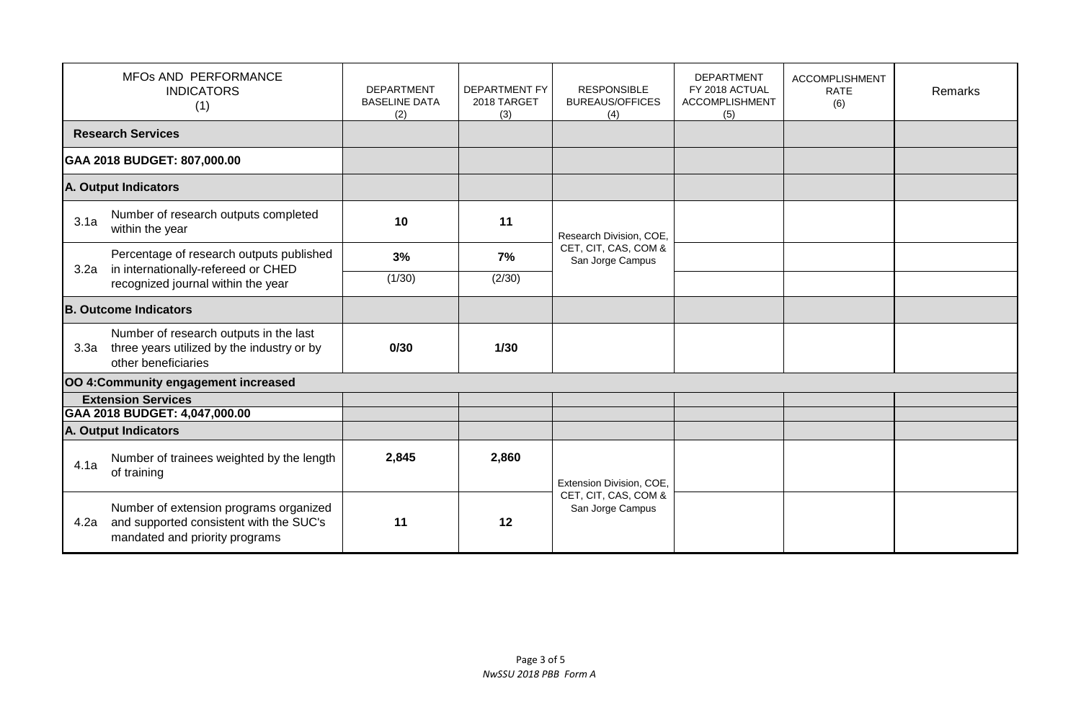| MFOs AND PERFORMANCE<br><b>INDICATORS</b><br>(1) |                                                                                                                       | <b>DEPARTMENT</b><br><b>BASELINE DATA</b><br>(2) | <b>DEPARTMENT FY</b><br>2018 TARGET<br>(3) | <b>RESPONSIBLE</b><br><b>BUREAUS/OFFICES</b><br>(4) | <b>DEPARTMENT</b><br>FY 2018 ACTUAL<br><b>ACCOMPLISHMENT</b><br>(5) | <b>ACCOMPLISHMENT</b><br><b>RATE</b><br>(6) | Remarks |
|--------------------------------------------------|-----------------------------------------------------------------------------------------------------------------------|--------------------------------------------------|--------------------------------------------|-----------------------------------------------------|---------------------------------------------------------------------|---------------------------------------------|---------|
|                                                  | <b>Research Services</b>                                                                                              |                                                  |                                            |                                                     |                                                                     |                                             |         |
|                                                  | GAA 2018 BUDGET: 807,000.00                                                                                           |                                                  |                                            |                                                     |                                                                     |                                             |         |
| A. Output Indicators                             |                                                                                                                       |                                                  |                                            |                                                     |                                                                     |                                             |         |
| 3.1a                                             | Number of research outputs completed<br>within the year                                                               | 10                                               | 11                                         | Research Division, COE,                             |                                                                     |                                             |         |
|                                                  | Percentage of research outputs published<br>in internationally-refereed or CHED<br>recognized journal within the year | 3%                                               | 7%                                         | CET, CIT, CAS, COM &<br>San Jorge Campus            |                                                                     |                                             |         |
| 3.2a                                             |                                                                                                                       | (1/30)                                           | (2/30)                                     |                                                     |                                                                     |                                             |         |
| <b>B. Outcome Indicators</b>                     |                                                                                                                       |                                                  |                                            |                                                     |                                                                     |                                             |         |
| 3.3a                                             | Number of research outputs in the last<br>three years utilized by the industry or by<br>other beneficiaries           | 0/30                                             | $1/30$                                     |                                                     |                                                                     |                                             |         |
|                                                  | OO 4: Community engagement increased                                                                                  |                                                  |                                            |                                                     |                                                                     |                                             |         |
|                                                  | <b>Extension Services</b><br>GAA 2018 BUDGET: 4,047,000.00                                                            |                                                  |                                            |                                                     |                                                                     |                                             |         |
|                                                  | A. Output Indicators                                                                                                  |                                                  |                                            |                                                     |                                                                     |                                             |         |
| 4.1a                                             | Number of trainees weighted by the length<br>of training                                                              | 2,845                                            | 2,860                                      | Extension Division, COE,                            |                                                                     |                                             |         |
| 4.2a                                             | Number of extension programs organized<br>and supported consistent with the SUC's<br>mandated and priority programs   | 11                                               | 12                                         | CET, CIT, CAS, COM &<br>San Jorge Campus            |                                                                     |                                             |         |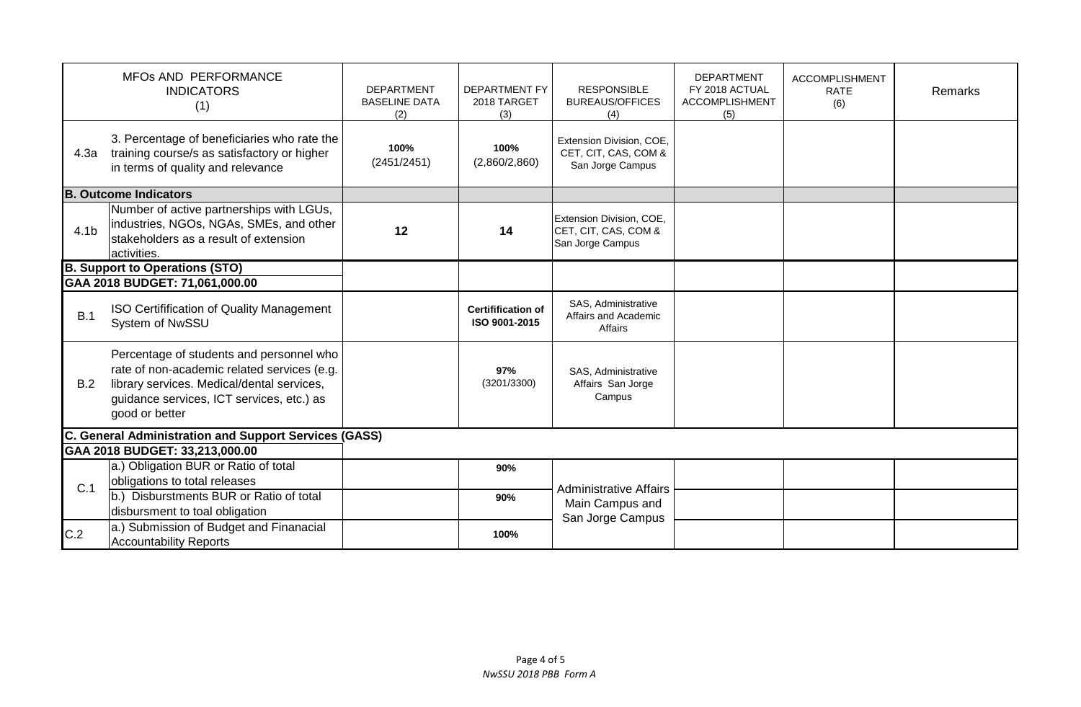|                                                       | MFOs AND PERFORMANCE<br><b>INDICATORS</b><br>(1)                                                                                                                                                     | <b>DEPARTMENT</b><br><b>BASELINE DATA</b><br>(2) | <b>DEPARTMENT FY</b><br>2018 TARGET<br>(3) | <b>RESPONSIBLE</b><br><b>BUREAUS/OFFICES</b><br>(4)                  | <b>DEPARTMENT</b><br>FY 2018 ACTUAL<br><b>ACCOMPLISHMENT</b><br>(5) | <b>ACCOMPLISHMENT</b><br><b>RATE</b><br>(6) | Remarks |
|-------------------------------------------------------|------------------------------------------------------------------------------------------------------------------------------------------------------------------------------------------------------|--------------------------------------------------|--------------------------------------------|----------------------------------------------------------------------|---------------------------------------------------------------------|---------------------------------------------|---------|
| 4.3a                                                  | 3. Percentage of beneficiaries who rate the<br>training course/s as satisfactory or higher<br>in terms of quality and relevance                                                                      | 100%<br>(2451/2451)                              | 100%<br>(2,860/2,860)                      | Extension Division, COE,<br>CET, CIT, CAS, COM &<br>San Jorge Campus |                                                                     |                                             |         |
| B.                                                    | . Outcome Indicators                                                                                                                                                                                 |                                                  |                                            |                                                                      |                                                                     |                                             |         |
| 4.1 <sub>b</sub>                                      | Number of active partnerships with LGUs,<br>industries, NGOs, NGAs, SMEs, and other<br>stakeholders as a result of extension<br>activities.                                                          | 12                                               | 14                                         | Extension Division, COE,<br>CET, CIT, CAS, COM &<br>San Jorge Campus |                                                                     |                                             |         |
|                                                       | <b>B. Support to Operations (STO)</b>                                                                                                                                                                |                                                  |                                            |                                                                      |                                                                     |                                             |         |
|                                                       | GAA 2018 BUDGET: 71,061,000.00                                                                                                                                                                       |                                                  |                                            |                                                                      |                                                                     |                                             |         |
| B.1                                                   | ISO Certifification of Quality Management<br>System of NwSSU                                                                                                                                         |                                                  | <b>Certifification of</b><br>ISO 9001-2015 | SAS, Administrative<br>Affairs and Academic<br>Affairs               |                                                                     |                                             |         |
| B.2                                                   | Percentage of students and personnel who<br>rate of non-academic related services (e.g.<br>library services. Medical/dental services,<br>guidance services, ICT services, etc.) as<br>good or better |                                                  | 97%<br>(3201/3300)                         | SAS, Administrative<br>Affairs San Jorge<br>Campus                   |                                                                     |                                             |         |
| C. General Administration and Support Services (GASS) |                                                                                                                                                                                                      |                                                  |                                            |                                                                      |                                                                     |                                             |         |
|                                                       | GAA 2018 BUDGET: 33,213,000.00                                                                                                                                                                       |                                                  |                                            |                                                                      |                                                                     |                                             |         |
| C.1                                                   | a.) Obligation BUR or Ratio of total                                                                                                                                                                 |                                                  | 90%                                        | <b>Administrative Affairs</b><br>Main Campus and<br>San Jorge Campus |                                                                     |                                             |         |
|                                                       | obligations to total releases<br>b.) Disburstments BUR or Ratio of total                                                                                                                             |                                                  | 90%                                        |                                                                      |                                                                     |                                             |         |
|                                                       | disbursment to toal obligation                                                                                                                                                                       |                                                  |                                            |                                                                      |                                                                     |                                             |         |
| C.2                                                   | a.) Submission of Budget and Finanacial<br><b>Accountability Reports</b>                                                                                                                             |                                                  | 100%                                       |                                                                      |                                                                     |                                             |         |